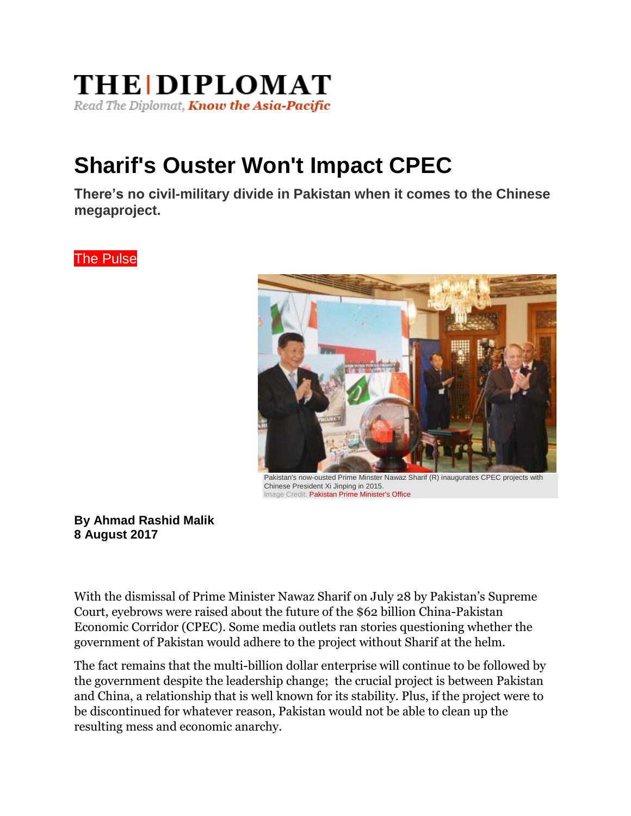## **THE DIPLOMAT** Read The Diplomat, Know the Asia-Pacific

## **Sharif's Ouster Won't Impact CPEC**

**There's no civil-military divide in Pakistan when it comes to the Chinese megaproject.**

The Pulse



Pakistan's now-ousted Prime Minster Nawaz Sharif (R) inaugurates CPEC projects with Chinese President Xi Jinping in 2015. Image Credit: [Pakistan Prime Minister's Office](http://pmo.gov.pk/gallery/images/pm_chineseprevideolink.jpg)

## **By Ahmad Rashid Malik 8 August 2017**

With the dismissal of Prime Minister Nawaz Sharif on July 28 by Pakistan's Supreme Court, eyebrows were raised about the future of the \$62 billion China-Pakistan Economic Corridor (CPEC). Some media outlets ran stories questioning whether the government of Pakistan would adhere to the project without Sharif at the helm.

The fact remains that the multi-billion dollar enterprise will continue to be followed by the government despite the leadership change; the crucial project is between Pakistan and China, a relationship that is well known for its stability. Plus, if the project were to be discontinued for whatever reason, Pakistan would not be able to clean up the resulting mess and economic anarchy.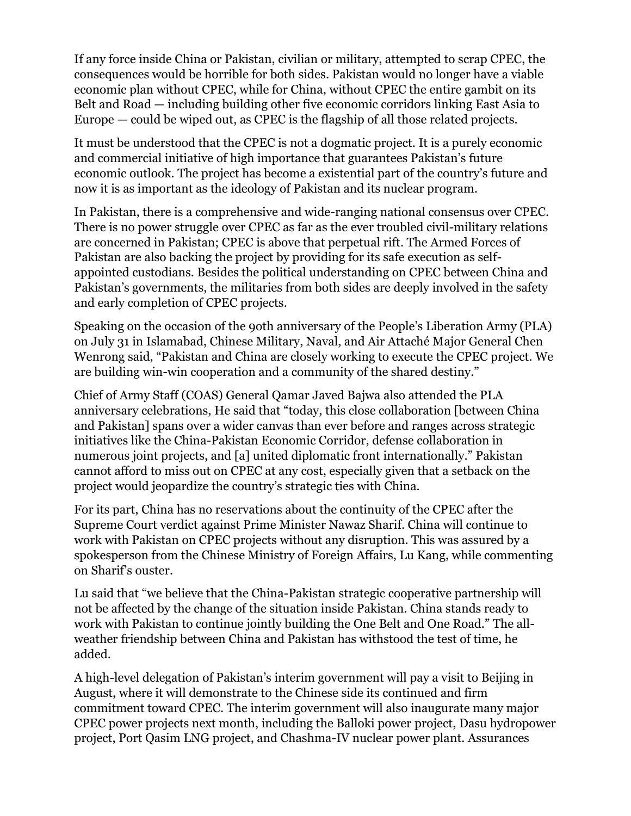If any force inside China or Pakistan, civilian or military, attempted to scrap CPEC, the consequences would be horrible for both sides. Pakistan would no longer have a viable economic plan without CPEC, while for China, without CPEC the entire gambit on its Belt and Road — including building other five economic corridors linking East Asia to Europe — could be wiped out, as CPEC is the flagship of all those related projects.

It must be understood that the CPEC is not a dogmatic project. It is a purely economic and commercial initiative of high importance that guarantees Pakistan's future economic outlook. The project has become a existential part of the country's future and now it is as important as the ideology of Pakistan and its nuclear program.

In Pakistan, there is a comprehensive and wide-ranging national consensus over CPEC. There is no power struggle over CPEC as far as the ever troubled civil-military relations are concerned in Pakistan; CPEC is above that perpetual rift. The Armed Forces of Pakistan are also backing the project by providing for its safe execution as selfappointed custodians. Besides the political understanding on CPEC between China and Pakistan's governments, the militaries from both sides are deeply involved in the safety and early completion of CPEC projects.

Speaking on the occasion of the 9oth anniversary of the People's Liberation Army (PLA) on July 31 in Islamabad, Chinese Military, Naval, and Air Attaché Major General Chen Wenrong said, "Pakistan and China are closely working to execute the CPEC project. We are building win-win cooperation and a community of the shared destiny."

Chief of Army Staff (COAS) General Qamar Javed Bajwa also attended the PLA anniversary celebrations, He said that "today, this close collaboration [between China and Pakistan] spans over a wider canvas than ever before and ranges across strategic initiatives like the China-Pakistan Economic Corridor, defense collaboration in numerous joint projects, and [a] united diplomatic front internationally." Pakistan cannot afford to miss out on CPEC at any cost, especially given that a setback on the project would jeopardize the country's strategic ties with China.

For its part, China has no reservations about the continuity of the CPEC after the Supreme Court verdict against Prime Minister Nawaz Sharif. China will continue to work with Pakistan on CPEC projects without any disruption. This was assured by a spokesperson from the Chinese Ministry of Foreign Affairs, Lu Kang, while commenting on Sharif's ouster.

Lu said that "we believe that the China-Pakistan strategic cooperative partnership will not be affected by the change of the situation inside Pakistan. China stands ready to work with Pakistan to continue jointly building the One Belt and One Road." The allweather friendship between China and Pakistan has withstood the test of time, he added.

A high-level delegation of Pakistan's interim government will pay a visit to Beijing in August, where it will demonstrate to the Chinese side its continued and firm commitment toward CPEC. The interim government will also inaugurate many major CPEC power projects next month, including the Balloki power project, Dasu hydropower project, Port Qasim LNG project, and Chashma-IV nuclear power plant. Assurances